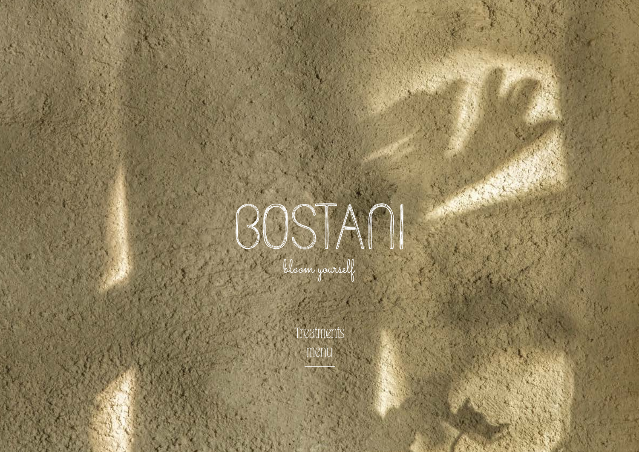

Treatments menu

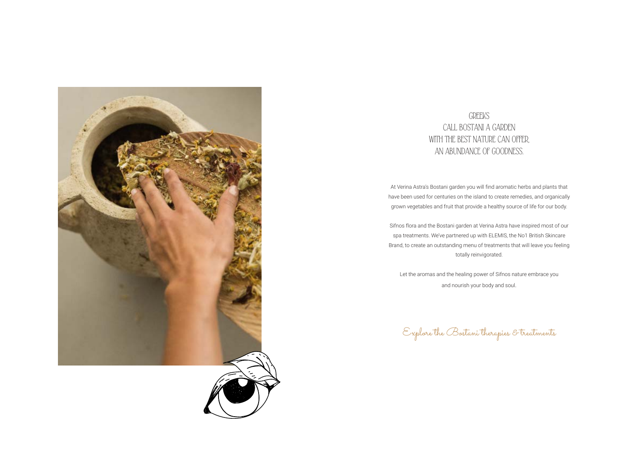At Verina Astra's Bostani garden you will find aromatic herbs and plants that have been used for centuries on the island to create remedies, and organically grown vegetables and fruit that provide a healthy source of life for our body.

Sifnos flora and the Bostani garden at Verina Astra have inspired most of our spa treatments. We've partnered up with ELEMIS, the No1 British Skincare Brand, to create an outstanding menu of treatments that will leave you feeling totally reinvigorated.

Let the aromas and the healing power of Sifnos nature embrace you and nourish your body and soul.

Explore the Bostani therapies & treatments





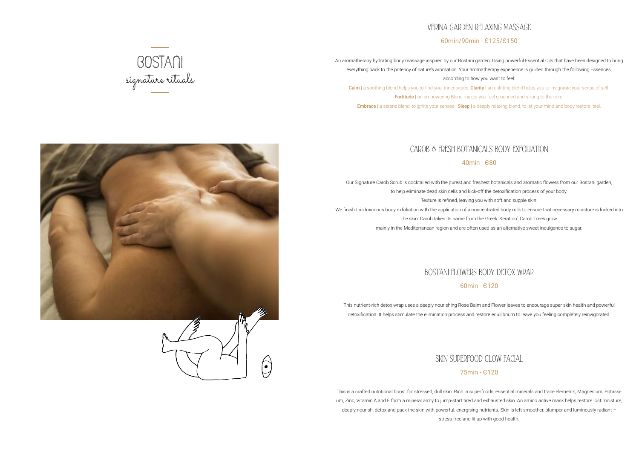# VERINA GARDEN RELAXING MASSAGE 60min/90min - Є125/Є150

An aromatherapy hydrating body massage inspired by our Bostani garden. Using powerful Essential Oils that have been designed to bring everything back to the potency of nature's aromatics. Your aromatherapy experience is guided through the following Essences, according to how you want to feel:

Calm | a soothing blend helps you to find your inner peace. Clarity | an uplifting blend helps you to invigorate your sense of self. Fortitude | an empowering Blend makes you feel grounded and strong to the core.

Embrace | a serene blend, to ignite your senses. Sleep | a deeply relaxing blend, to let your mind and body restore itsel.

# CAROB & FRESH BOTANICALS BODY EXFOLIATION

### 40min - Є80

Our Signature Carob Scrub is cocktailed with the purest and freshest botanicals and aromatic flowers from our Bostani garden, to help eliminate dead skin cells and kick-off the detoxification process of your body.

Texture is refined, leaving you with soft and supple skin.

- 
- 
- We finish this luxurious body exfoliation with the application of a concentrated body milk to ensure that necessary moisture is locked into
	- the skin. Carob takes its name from the Greek 'Keration'; Carob Trees grow
		-

mainly in the Mediterranean region and are often used as an alternative sweet indulgence to sugar.

# BOSTANI FLOWERS BODY DETOX WRAP 60min - Є120

This nutrient-rich detox wrap uses a deeply nourishing Rose Balm and Flower leaves to encourage super skin health and powerful detoxification. It helps stimulate the elimination process and restore equilibrium to leave you feeling completely reinvigorated.

# SKIN SUPERFOOD GLOW FACIAL

# 75min - Є120

This is a crafted nutritional boost for stressed, dull skin. Rich in superfoods, essential minerals and trace elements; Magnesium, Potassium, Zinc, Vitamin A and E form a mineral army to jump-start tired and exhausted skin. An amino active mask helps restore lost moisture, deeply nourish, detox and pack the skin with powerful, energising nutrients. Skin is left smoother, plumper and luminously radiant – stress-free and lit up with good health.





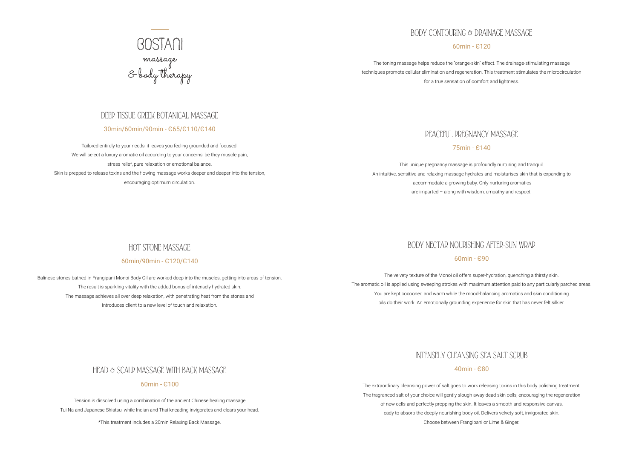## DEEP TISSUE GREEK BOTANICAL MASSAGE

### 30min/60min/90min - Є65/Є110/Є140

Tailored entirely to your needs, it leaves you feeling grounded and focused. We will select a luxury aromatic oil according to your concerns, be they muscle pain, stress relief, pure relaxation or emotional balance. Skin is prepped to release toxins and the flowing massage works deeper and deeper into the tension, encouraging optimum circulation.

## HOT STONE MASSAGE

### 60min/90min - Є120/Є140

Balinese stones bathed in Frangipani Monoi Body Oil are worked deep into the muscles, getting into areas of tension. The result is sparkling vitality with the added bonus of intensely hydrated skin. The massage achieves all over deep relaxation, with penetrating heat from the stones and introduces client to a new level of touch and relaxation.

HEAD & SCALP MASSAGE WITH BACK MASSAGE

### 60min - Є100

Tension is dissolved using a combination of the ancient Chinese healing massage Tui Na and Japanese Shiatsu, while Indian and Thai kneading invigorates and clears your head.

\*This treatment includes a 20min Relaxing Back Massage.



# BODY CONTOURING & DRAINAGE MASSAGE

60min - Є120

The toning massage helps reduce the "orange-skin" effect. The drainage-stimulating massage techniques promote cellular elimination and regeneration. This treatment stimulates the microcirculation for a true sensation of comfort and lightness.

# PEACEFUL PREGNANCY MASSAGE

75min - Є140

This unique pregnancy massage is profoundly nurturing and tranquil. An intuitive, sensitive and relaxing massage hydrates and moisturises skin that is expanding to accommodate a growing baby. Only nurturing aromatics are imparted – along with wisdom, empathy and respect.

# BODY NECTAR NOURISHING AFTER-SUN WRAP

60min - Є90

The velvety texture of the Monoi oil offers super-hydration, quenching a thirsty skin. The aromatic oil is applied using sweeping strokes with maximum attention paid to any particularly parched areas. You are kept cocooned and warm while the mood-balancing aromatics and skin conditioning oils do their work. An emotionally grounding experience for skin that has never felt silkier.

# INTENSELY CLEANSING SEA SALT SCRUB

40min - Є80

The extraordinary cleansing power of salt goes to work releasing toxins in this body polishing treatment. The fragranced salt of your choice will gently slough away dead skin cells, encouraging the regeneration of new cells and perfectly prepping the skin. It leaves a smooth and responsive canvas, eady to absorb the deeply nourishing body oil. Delivers velvety soft, invigorated skin. Choose between Frangipani or Lime & Ginger.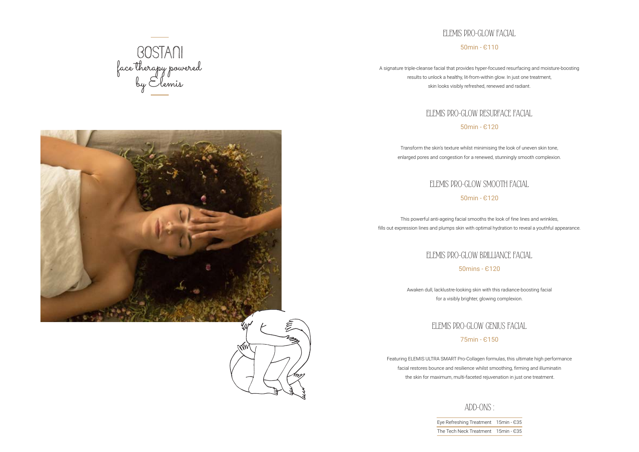ADD-ONS :

Eye Refreshing Treatr The Tech Neck Treatr





| nent | 15min - 635 |
|------|-------------|
| nent | 15min - 635 |

# ELEMIS PRO-GLOW FACIAL 50min - Є110

A signature triple-cleanse facial that provides hyper-focused resurfacing and moisture-boosting results to unlock a healthy, lit-from-within glow. In just one treatment, skin looks visibly refreshed, renewed and radiant.

# ELEMIS PRO-GLOW RESURFACE FACIAL 50min - Є120

Transform the skin's texture whilst minimising the look of uneven skin tone, enlarged pores and congestion for a renewed, stunningly smooth complexion.

# ELEMIS PRO-GLOW SMOOTH FACIAL

50min - Є120

This powerful anti-ageing facial smooths the look of fine lines and wrinkles, fills out expression lines and plumps skin with optimal hydration to reveal a youthful appearance.

# ELEMIS PRO-GLOW BRILLIANCE FACIAL

50mins - Є120

Awaken dull, lacklustre-looking skin with this radiance-boosting facial for a visibly brighter, glowing complexion.

# ELEMIS PRO-GLOW GENIUS FACIAL

75min - Є150

Featuring ELEMIS ULTRA SMART Pro-Collagen formulas, this ultimate high performance facial restores bounce and resilience whilst smoothing, firming and illuminatin the skin for maximum, multi-faceted rejuvenation in just one treatment.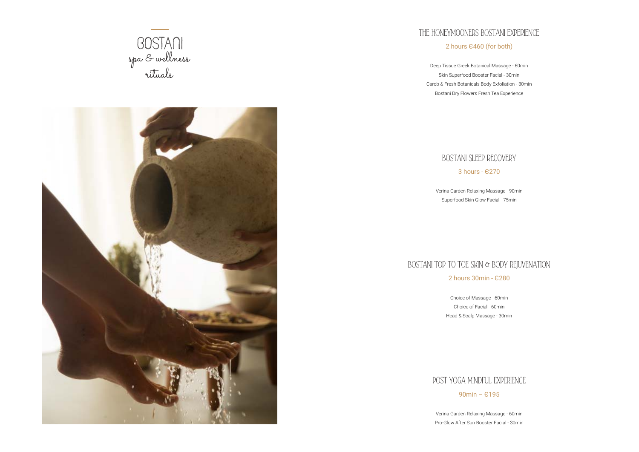



# THE HONEYMOONERS BOSTANI EXPERIENCE 2 hours Є460 (for both)

Deep Tissue Greek Botanical Massage - 60min Skin Superfood Booster Facial - 30min Carob & Fresh Botanicals Body Exfoliation - 30min Bostani Dry Flowers Fresh Tea Experience



3 hours - Є270

Verina Garden Relaxing Massage - 90min

Superfood Skin Glow Facial - 75min

# BOSTANI TOP TO TOE SKIN & BODY REJUVENATION 2 hours 30min - Є280

Choice of Massage - 60min Choice of Facial - 60min Head & Scalp Massage - 30min

# POST YOGA MINDFUL EXPERIENCE 90min – Є195

Verina Garden Relaxing Massage - 60min Pro-Glow After Sun Booster Facial - 30min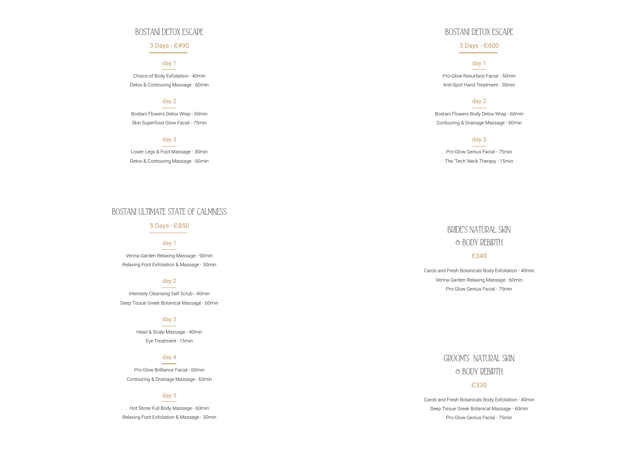## BOSTANI DETOX ESCAPE

### 3 Days - Є490

### day 1

Choice of Body Exfoliation - 40min Detox & Contouring Massage - 60min

### day 2

Bostani Flowers Detox Wrap - 60min Skin Superfood Glow Facial - 75min

### day 3

Lower Legs & Foot Massage - 30min Detox & Contouring Massage - 60min

## BOSTANI ULTIMATE STATE OF CALMNESS

5 Days - Є850

### day 1

Verina Garden Relaxing Massage - 90min Relaxing Foot Exfoliation & Massage - 30min

### day 2

Intensely Cleansing Salt Scrub - 40min Deep Tissue Greek Botanical Massage - 60min

### day 3

Head & Scalp Massage - 40min Eye Treatment - 15min

### day 4

Pro-Glow Brilliance Facial - 60min Contouring & Drainage Massage - 60min

### day 5

Hot Stone Full Body Massage - 60min Relaxing Foot Exfoliation & Massage - 30min

# BOSTANI DETOX ESCAPE

3 Days - Є600

## day 1

Pro-Glow Resurface Facial - 50min Anti-Spot Hand Treatment - 30min

### day 2

Bostani Flowers Body Detox Wrap - 60min Contouring & Drainage Massage - 60min

### day 3

Pro-Glow Genius Facial - 75min

The 'Tech' Neck Therapy - 15min

# BRIDE'S NATURAL SKIN & BODY REBIRTH

### Є340

Carob and Fresh Botanicals Body Exfoliation - 40min Verina Garden Relaxing Massage - 60min Pro-Glow Genius Facial - 75min

> GROOM'S NATURAL SKIN & BODY REBIRTH

### Є330

Carob and Fresh Botanicals Body Exfoliation - 40min Deep Tissue Greek Botanical Massage - 60min Pro-Glow Genius Facial - 75min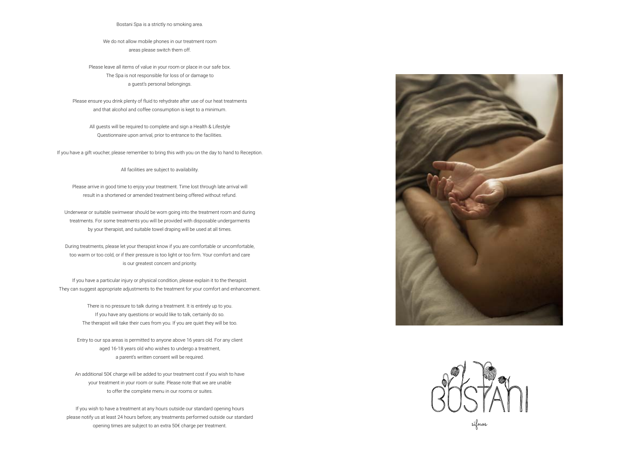sifnos

Bostani Spa is a strictly no smoking area.

We do not allow mobile phones in our treatment room areas please switch them off.

Please leave all items of value in your room or place in our safe box. The Spa is not responsible for loss of or damage to a guest's personal belongings.

Please ensure you drink plenty of fluid to rehydrate after use of our heat treatments and that alcohol and coffee consumption is kept to a minimum.

All guests will be required to complete and sign a Health & Lifestyle Questionnaire upon arrival, prior to entrance to the facilities.

If you have a gift voucher, please remember to bring this with you on the day to hand to Reception.

All facilities are subject to availability.

Please arrive in good time to enjoy your treatment. Time lost through late arrival will result in a shortened or amended treatment being offered without refund.

Underwear or suitable swimwear should be worn going into the treatment room and during treatments. For some treatments you will be provided with disposable undergarments by your therapist, and suitable towel draping will be used at all times.

During treatments, please let your therapist know if you are comfortable or uncomfortable, too warm or too cold, or if their pressure is too light or too firm. Your comfort and care is our greatest concern and priority.

If you have a particular injury or physical condition, please explain it to the therapist. They can suggest appropriate adjustments to the treatment for your comfort and enhancement.

> There is no pressure to talk during a treatment. It is entirely up to you. If you have any questions or would like to talk, certainly do so. The therapist will take their cues from you. If you are quiet they will be too.

Entry to our spa areas is permitted to anyone above 16 years old. For any client aged 16-18 years old who wishes to undergo a treatment, a parent's written consent will be required.

An additional 50€ charge will be added to your treatment cost if you wish to have your treatment in your room or suite. Please note that we are unable to offer the complete menu in our rooms or suites.

If you wish to have a treatment at any hours outside our standard opening hours please notify us at least 24 hours before; any treatments performed outside our standard opening times are subject to an extra 50€ charge per treatment.